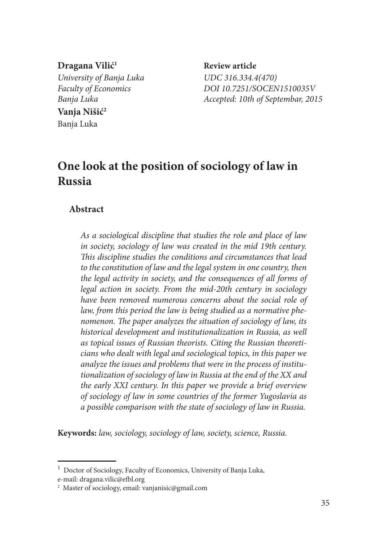**Dragana Vilić1** *University of Banja Luka UDC 316.334.4(470)* **Vanja Nišić2** Banja Luka

 **Review article** *Faculty of Economics DOI 10.7251/SOCEN1510035V Banja Luka Accepted: 10th of Septembar, 2015*

# **One look at the position of sociology of law in Russia**

## **Abstract**

*As a sociological discipline that studies the role and place of law in society, sociology of law was created in the mid 19th century. This discipline studies the conditions and circumstances that lead to the constitution of law and the legal system in one country, then the legal activity in society, and the consequences of all forms of legal action in society. From the mid-20th century in sociology have been removed numerous concerns about the social role of law, from this period the law is being studied as a normative phenomenon. The paper analyzes the situation of sociology of law, its historical development and institutionalization in Russia, as well as topical issues of Russian theorists. Citing the Russian theoreticians who dealt with legal and sociological topics, in this paper we analyze the issues and problems that were in the process of institutionalization of sociology of law in Russia at the end of the XX and the early XXI century. In this paper we provide a brief overview of sociology of law in some countries of the former Yugoslavia as a possible comparison with the state of sociology of law in Russia.*

**Keywords:** *law, sociology, sociology of law, society, science, Russia.*

<sup>&</sup>lt;sup>1</sup> Doctor of Sociology, Faculty of Economics, University of Banja Luka,

e-mail: dragana.vilic@efbl.org

<sup>2</sup> Master of sociology, email: vanjanisic@gmail.com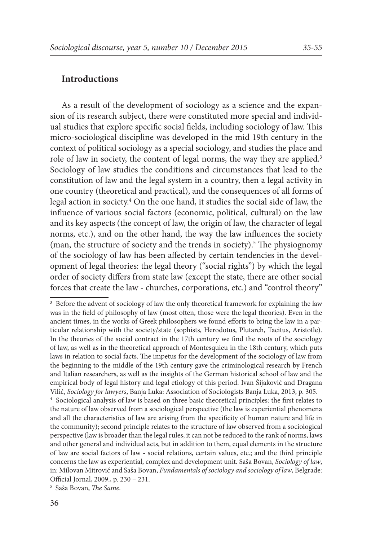As a result of the development of sociology as a science and the expansion of its research subject, there were constituted more special and individual studies that explore specific social fields, including sociology of law. This micro-sociological discipline was developed in the mid 19th century in the context of political sociology as a special sociology, and studies the place and role of law in society, the content of legal norms, the way they are applied.<sup>3</sup> Sociology of law studies the conditions and circumstances that lead to the constitution of law and the legal system in a country, then a legal activity in one country (theoretical and practical), and the consequences of all forms of legal action in society.4 On the one hand, it studies the social side of law, the influence of various social factors (economic, political, cultural) on the law and its key aspects (the concept of law, the origin of law, the character of legal norms, etc.), and on the other hand, the way the law influences the society (man, the structure of society and the trends in society).<sup>5</sup> The physiognomy of the sociology of law has been affected by certain tendencies in the development of legal theories: the legal theory ("social rights") by which the legal order of society differs from state law (except the state, there are other social forces that create the law - churches, corporations, etc.) and "control theory"

<sup>&</sup>lt;sup>3</sup> Before the advent of sociology of law the only theoretical framework for explaining the law was in the field of philosophy of law (most often, those were the legal theories). Even in the ancient times, in the works of Greek philosophers we found efforts to bring the law in a particular relationship with the society/state (sophists, Herodotus, Plutarch, Tacitus, Aristotle). In the theories of the social contract in the 17th century we find the roots of the sociology of law, as well as in the theoretical approach of Montesquieu in the 18th century, which puts laws in relation to social facts. The impetus for the development of the sociology of law from the beginning to the middle of the 19th century gave the criminological research by French and Italian researchers, as well as the insights of the German historical school of law and the empirical body of legal history and legal etiology of this period. Ivan Šijaković and Dragana Vilić, *Sociology for lawyers*, Banja Luka: Association of Sociologists Banja Luka, 2013, p. 305. 4 Sociological analysis of law is based on three basic theoretical principles: the first relates to

the nature of law observed from a sociological perspective (the law is experiential phenomena and all the characteristics of law are arising from the specificity of human nature and life in the community); second principle relates to the structure of law observed from a sociological perspective (law is broader than the legal rules, it can not be reduced to the rank of norms, laws and other general and individual acts, but in addition to them, equal elements in the structure of law are social factors of law - social relations, certain values, etc.; and the third principle concerns the law as experiential, complex and development unit. Saša Bovan, *Sociology of law*, in: Milovan Mitrović and Saša Bovan, *Fundamentals of sociology and sociology of law*, Belgrade: Official Jornal, 2009., p. 230 – 231.

<sup>5</sup> Saša Bovan, *The Same.*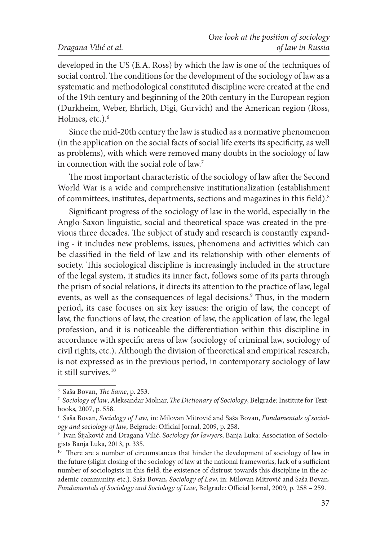developed in the US (E.A. Ross) by which the law is one of the techniques of social control. The conditions for the development of the sociology of law as a systematic and methodological constituted discipline were created at the end of the 19th century and beginning of the 20th century in the European region (Durkheim, Weber, Ehrlich, Digi, Gurvich) and the American region (Ross, Holmes, etc.).<sup>6</sup>

Since the mid-20th century the law is studied as a normative phenomenon (in the application on the social facts of social life exerts its specificity, as well as problems), with which were removed many doubts in the sociology of law in connection with the social role of law.<sup>7</sup>

The most important characteristic of the sociology of law after the Second World War is a wide and comprehensive institutionalization (establishment of committees, institutes, departments, sections and magazines in this field).8

Significant progress of the sociology of law in the world, especially in the Anglo-Saxon linguistic, social and theoretical space was created in the previous three decades. The subject of study and research is constantly expanding - it includes new problems, issues, phenomena and activities which can be classified in the field of law and its relationship with other elements of society. This sociological discipline is increasingly included in the structure of the legal system, it studies its inner fact, follows some of its parts through the prism of social relations, it directs its attention to the practice of law, legal events, as well as the consequences of legal decisions.<sup>9</sup> Thus, in the modern period, its case focuses on six key issues: the origin of law, the concept of law, the functions of law, the creation of law, the application of law, the legal profession, and it is noticeable the differentiation within this discipline in accordance with specific areas of law (sociology of criminal law, sociology of civil rights, etc.). Although the division of theoretical and empirical research, is not expressed as in the previous period, in contemporary sociology of law it still survives.10

<sup>6</sup> Saša Bovan, *The Same*, p. 253.

<sup>7</sup>  *Sociology of law*, Aleksandar Molnar, *The Dictionary of Sociology*, Belgrade: Institute for Textbooks, 2007, p. 558.

<sup>8</sup> Saša Bovan, *Sociology of Law*, in: Milovan Mitrović and Saša Bovan, *Fundamentals of sociology and sociology of law*, Belgrade: Official Jornal, 2009, p. 258.

<sup>9</sup> Ivan Šijaković and Dragana Vilić, *Sociology for lawyers*, Banja Luka: Association of Sociologists Banja Luka, 2013, p. 335.

<sup>&</sup>lt;sup>10</sup> There are a number of circumstances that hinder the development of sociology of law in the future (slight closing of the sociology of law at the national frameworks, lack of a sufficient number of sociologists in this field, the existence of distrust towards this discipline in the academic community, etc.). Saša Bovan, *Sociology of Law*, in: Milovan Mitrović and Saša Bovan, *Fundamentals of Sociology and Sociology of Law*, Belgrade: Official Jornal, 2009, p. 258 – 259.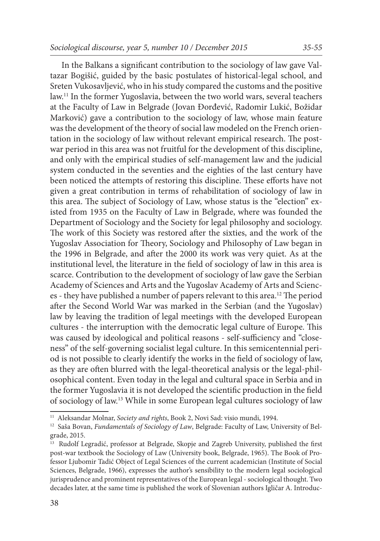In the Balkans a significant contribution to the sociology of law gave Valtazar Bogišić, guided by the basic postulates of historical-legal school, and Sreten Vukosavljević, who in his study compared the customs and the positive law.11 In the former Yugoslavia, between the two world wars, several teachers at the Faculty of Law in Belgrade (Jovan Đorđević, Radomir Lukić, Božidar Marković) gave a contribution to the sociology of law, whose main feature was the development of the theory of social law modeled on the French orientation in the sociology of law without relevant empirical research. The postwar period in this area was not fruitful for the development of this discipline, and only with the empirical studies of self-management law and the judicial system conducted in the seventies and the eighties of the last century have been noticed the attempts of restoring this discipline. These efforts have not given a great contribution in terms of rehabilitation of sociology of law in this area. The subject of Sociology of Law, whose status is the "election" existed from 1935 on the Faculty of Law in Belgrade, where was founded the Department of Sociology and the Society for legal philosophy and sociology. The work of this Society was restored after the sixties, and the work of the Yugoslav Association for Theory, Sociology and Philosophy of Law began in the 1996 in Belgrade, and after the 2000 its work was very quiet. As at the institutional level, the literature in the field of sociology of law in this area is scarce. Contribution to the development of sociology of law gave the Serbian Academy of Sciences and Arts and the Yugoslav Academy of Arts and Sciences - they have published a number of papers relevant to this area.12 The period after the Second World War was marked in the Serbian (and the Yugoslav) law by leaving the tradition of legal meetings with the developed European cultures - the interruption with the democratic legal culture of Europe. This was caused by ideological and political reasons - self-sufficiency and "closeness" of the self-governing socialist legal culture. In this semicentennial period is not possible to clearly identify the works in the field of sociology of law, as they are often blurred with the legal-theoretical analysis or the legal-philosophical content. Even today in the legal and cultural space in Serbia and in the former Yugoslavia it is not developed the scientific production in the field of sociology of law.13 While in some European legal cultures sociology of law

<sup>11</sup> Aleksandar Molnar, *Society and rights*, Book 2, Novi Sad: visio mundi, 1994.

<sup>12</sup> Saša Bovan, *Fundamentals of Sociology of Law*, Belgrade: Faculty of Law, University of Belgrade, 2015.

<sup>&</sup>lt;sup>13</sup> Rudolf Legradić, professor at Belgrade, Skopje and Zagreb University, published the first post-war textbook the Sociology of Law (University book, Belgrade, 1965). Тhе Book of Professor Ljubomir Tadić Object of Legal Sciences of the current academician (Institute of Social Sciences, Belgrade, 1966), expresses the author's sensibility to the modern legal sociological jurisprudence and prominent representatives of the European legal - sociological thought. Two decades later, at the same time is published the work of Slovenian authors Igličar A. Introduc-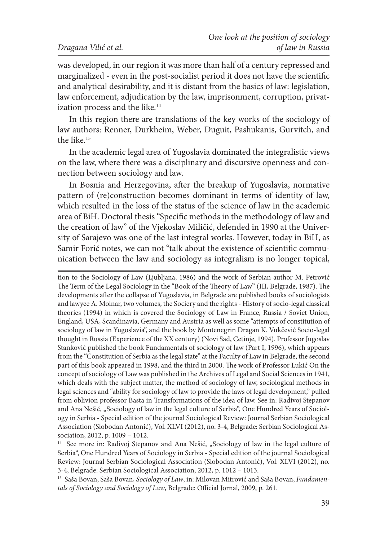was developed, in our region it was more than half of a century repressed and marginalized - even in the post-socialist period it does not have the scientific and analytical desirability, and it is distant from the basics of law: legislation, law enforcement, adjudication by the law, imprisonment, corruption, privatization process and the like.<sup>14</sup>

In this region there are translations of the key works of the sociology of law authors: Renner, Durkheim, Weber, Duguit, Pashukanis, Gurvitch, and the like<sup>15</sup>

In the academic legal area of Yugoslavia dominated the integralistic views on the law, where there was a disciplinary and discursive openness and connection between sociology and law.

In Bosnia and Herzegovina, after the breakup of Yugoslavia, normative pattern of (re)construction becomes dominant in terms of identity of law, which resulted in the loss of the status of the science of law in the academic area of BiH. Doctoral thesis "Specific methods in the methodology of law and the creation of law" of the Vjekoslav Miličić, defended in 1990 at the University of Sarajevo was one of the last integral works. However, today in BiH, as Samir Forić notes, we can not "talk about the existence of scientific communication between the law and sociology as integralism is no longer topical,

tion to the Sociology of Law (Ljubljana, 1986) and the work of Serbian author M. Petrović The Term of the Legal Sociology in the "Book of the Theory of Law" (III, Belgrade, 1987). The developments after the collapse of Yugoslavia, in Belgrade are published books of sociologists and lawyee A. Molnar, two volumes, the Sociery and the rights - History of socio-legal classical theories (1994) in which is covered the Sociology of Law in France, Russia / Soviet Union, England, USA, Scandinavia, Germany and Austria as well as some "attempts of constitution of sociology of law in Yugoslavia", and the book by Montenegrin Dragan K. Vukčević Socio-legal thought in Russia (Experience of the XX century) (Novi Sad, Cetinje, 1994). Professor Jugoslav Stanković published the book Fundamentals of sociology of law (Part I, 1996), which appears from the "Constitution of Serbia as the legal state" at the Faculty of Law in Belgrade, the second part of this book appeared in 1998, and the third in 2000. The work of Professor Lukić On the concept of sociology of Law was published in the Archives of Legal and Social Sciences in 1941, which deals with the subject matter, the method of sociology of law, sociological methods in legal sciences and "ability for sociology of law to provide the laws of legal development," pulled from oblivion professor Basta in Transformations of the idea of law. See in: Radivoj Stepanov and Ana Nešić, "Sociology of law in the legal culture of Serbia", One Hundred Years of Sociology in Serbia - Special edition of the journal Sociological Review: Journal Serbian Sociological Association (Slobodan Antonić), Vol. XLVI (2012), no. 3-4, Belgrade: Serbian Sociological Association, 2012, p. 1009 – 1012.

<sup>14</sup> See more in: Radivoj Stepanov and Ana Nešić, "Sociology of law in the legal culture of Serbia", One Hundred Years of Sociology in Serbia - Special edition of the journal Sociological Review: Journal Serbian Sociological Association (Slobodan Antonić), Vol. XLVI (2012), no. 3-4, Belgrade: Serbian Sociological Association, 2012, p. 1012 – 1013.

15 Saša Bovan, Saša Bovan, *Sociology of Law*, in: Milovan Mitrović and Saša Bovan, *Fundamentals of Sociology and Sociology of Law*, Belgrade: Official Jornal, 2009, p. 261.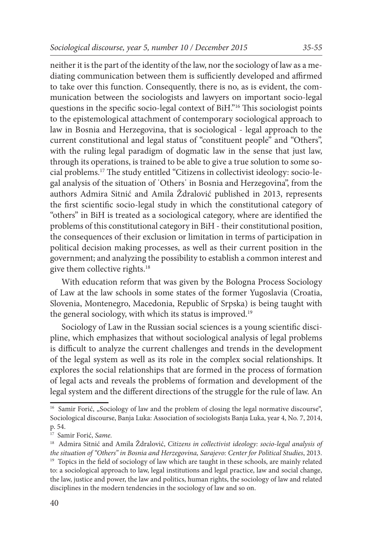neither it is the part of the identity of the law, nor the sociology of law as a mediating communication between them is sufficiently developed and affirmed to take over this function. Consequently, there is no, as is evident, the communication between the sociologists and lawyers on important socio-legal questions in the specific socio-legal context of BiH."16 This sociologist points to the epistemological attachment of contemporary sociological approach to law in Bosnia and Herzegovina, that is sociological - legal approach to the current constitutional and legal status of "constituent people" and "Others", with the ruling legal paradigm of dogmatic law in the sense that just law, through its operations, is trained to be able to give a true solution to some social problems.17 The study entitled "Citizens in collectivist ideology: socio-legal analysis of the situation of ˈOthersˈ in Bosnia and Herzegovina", from the authors Admira Sitnić and Amila Ždralović published in 2013, represents the first scientific socio-legal study in which the constitutional category of "others" in BiH is treated as a sociological category, where are identified the problems of this constitutional category in BiH - their constitutional position, the consequences of their exclusion or limitation in terms of participation in political decision making processes, as well as their current position in the government; and analyzing the possibility to establish a common interest and give them collective rights.<sup>18</sup>

With education reform that was given by the Bologna Process Sociology of Law at the law schools in some states of the former Yugoslavia (Croatia, Slovenia, Montenegro, Macedonia, Republic of Srpska) is being taught with the general sociology, with which its status is improved.<sup>19</sup>

Sociology of Law in the Russian social sciences is a young scientific discipline, which emphasizes that without sociological analysis of legal problems is difficult to analyze the current challenges and trends in the development of the legal system as well as its role in the complex social relationships. It explores the social relationships that are formed in the process of formation of legal acts and reveals the problems of formation and development of the legal system and the different directions of the struggle for the rule of law. An

<sup>&</sup>lt;sup>16</sup> Samir Forić, "Sociology of law and the problem of closing the legal normative discourse", Sociological discourse, Banja Luka: Association of sociologists Banja Luka, year 4, No. 7, 2014, p. 54.

<sup>17</sup> Samir Forić, *Same.*

<sup>18</sup> Admira Sitnić and Amila Ždralović, *Citizens in collectivist ideology: socio-legal analysis of the situation of "Others" in Bosnia and Herzegovina, Sarajevo: Center for Political Studies*, 2013.<br><sup>19</sup> Topics in the field of sociology of law which are taught in these schools, are mainly related

to: a sociological approach to law, legal institutions and legal practice, law and social change, the law, justice and power, the law and politics, human rights, the sociology of law and related disciplines in the modern tendencies in the sociology of law and so on.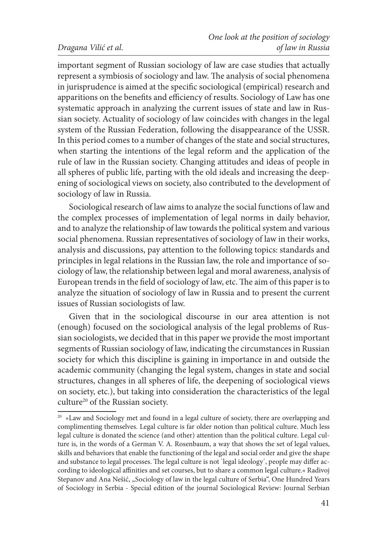#### *Dragana Vilić et al.*

important segment of Russian sociology of law are case studies that actually represent a symbiosis of sociology and law. The analysis of social phenomena in jurisprudence is aimed at the specific sociological (empirical) research and apparitions on the benefits and efficiency of results. Sociology of Law has one systematic approach in analyzing the current issues of state and law in Russian society. Actuality of sociology of law coincides with changes in the legal system of the Russian Federation, following the disappearance of the USSR. In this period comes to a number of changes of the state and social structures, when starting the intentions of the legal reform and the application of the rule of law in the Russian society. Changing attitudes and ideas of people in all spheres of public life, parting with the old ideals and increasing the deepening of sociological views on society, also contributed to the development of sociology of law in Russia.

Sociological research of law aims to analyze the social functions of law and the complex processes of implementation of legal norms in daily behavior, and to analyze the relationship of law towards the political system and various social phenomena. Russian representatives of sociology of law in their works, analysis and discussions, pay attention to the following topics: standards and principles in legal relations in the Russian law, the role and importance of sociology of law, the relationship between legal and moral awareness, analysis of European trends in the field of sociology of law, etc. The aim of this paper is to analyze the situation of sociology of law in Russia and to present the current issues of Russian sociologists of law.

Given that in the sociological discourse in our area attention is not (enough) focused on the sociological analysis of the legal problems of Russian sociologists, we decided that in this paper we provide the most important segments of Russian sociology of law, indicating the circumstances in Russian society for which this discipline is gaining in importance in and outside the academic community (changing the legal system, changes in state and social structures, changes in all spheres of life, the deepening of sociological views on society, etc.), but taking into consideration the characteristics of the legal culture<sup>20</sup> of the Russian society.

<sup>&</sup>lt;sup>20</sup> »Law and Sociology met and found in a legal culture of society, there are overlapping and complimenting themselves. Legal culture is far older notion than political culture. Much less legal culture is donated the science (and other) attention than the political culture. Legal culture is, in the words of a German V. A. Rosenbaum, a way that shows the set of legal values, skills and behaviors that enable the functioning of the legal and social order and give the shape and substance to legal processes. The legal culture is not ˈlegal ideologyˈ, people may differ according to ideological affinities and set courses, but to share a common legal culture.« Radivoj Stepanov and Ana Nešić, "Sociology of law in the legal culture of Serbia", One Hundred Years of Sociology in Serbia - Special edition of the journal Sociological Review: Journal Serbian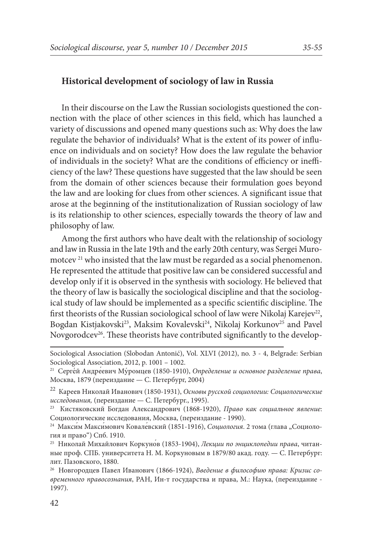# **Historical development of sociology of law in Russia**

In their discourse on the Law the Russian sociologists questioned the connection with the place of other sciences in this field, which has launched a variety of discussions and opened many questions such as: Why does the law regulate the behavior of individuals? What is the extent of its power of influence on individuals and on society? How does the law regulate the behavior of individuals in the society? What are the conditions of efficiency or inefficiency of the law? These questions have suggested that the law should be seen from the domain of other sciences because their formulation goes beyond the law and are looking for clues from other sciences. A significant issue that arose at the beginning of the institutionalization of Russian sociology of law is its relationship to other sciences, especially towards the theory of law and philosophy of law.

Among the first authors who have dealt with the relationship of sociology and law in Russia in the late 19th and the early 20th century, was Sergei Muromotcev<sup>21</sup> who insisted that the law must be regarded as a social phenomenon. He represented the attitude that positive law can be considered successful and develop only if it is observed in the synthesis with sociology. He believed that the theory of law is basically the sociological discipline and that the sociological study of law should be implemented as a specific scientific discipline. The first theorists of the Russian sociological school of law were Nikolaj Karejev<sup>22</sup>, Bogdan Kistjakovski<sup>23</sup>, Maksim Kovalevski<sup>24</sup>, Nikolaj Korkunov<sup>25</sup> and Pavel Novgorodcev<sup>26</sup>. These theorists have contributed significantly to the develop-

Sociological Association (Slobodan Antonić), Vol. XLVI (2012), no. 3 - 4, Belgrade: Serbian Sociological Association, 2012, p. 1001 – 1002.

<sup>21</sup> Серге́ й Андре́евич Му́ ромцев (1850-1910), *Определение и основное разделение права*, Москвa, 1879 (переиздание — С. Петербург, 2004)

<sup>22</sup> Кареев Николай Иванович (1850-1931), *Основы русской социологии: Социологические исследования,* (переиздание — С. Петербург., 1995).

<sup>23</sup> Кистяковский Богдан Александрович (1868-1920), *Право как социальное явление*: Социологические исследования, Москва, (переиздание - 1990). 24 Макси́м Макси́мович Ковале́вский (1851-1916), *Социология*. 2 тома (глава "Социоло-

гия и право") Спб. 1910.

<sup>25</sup> Николай Михайлович Коркуно́в (1853-1904), *Лекции по энциклопедии права*, читанные проф. СПБ. университета Н. М. Коркуновым в 1879/80 акад. году. — С. Петербург: лит. Пазовского, 1880.

<sup>26</sup> Новгородцев Павел Иванович (1866-1924), *Введение в философию права: Кризис современного правосознания*, РАН, Ин-т государства и права, М.: Наука, (переиздание - 1997).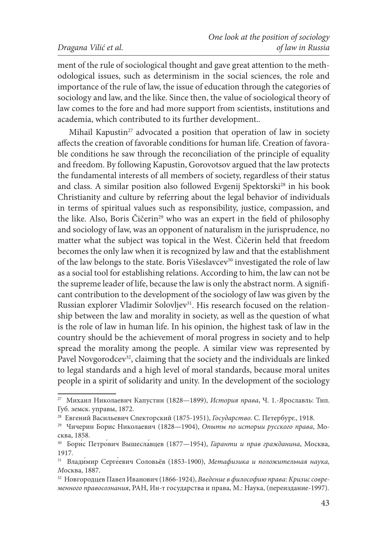ment of the rule of sociological thought and gave great attention to the methodological issues, such as determinism in the social sciences, the role and importance of the rule of law, the issue of education through the categories of sociology and law, and the like. Since then, the value of sociological theory of law comes to the fore and had more support from scientists, institutions and academia, which contributed to its further development..

Mihail Kapustin<sup>27</sup> advocated a position that operation of law in society affects the creation of favorable conditions for human life. Creation of favorable conditions he saw through the reconciliation of the principle of equality and freedom. By following Kapustin, Gorovotsov argued that the law protects the fundamental interests of all members of society, regardless of their status and class. A similar position also followed Evgenij Spektorski<sup>28</sup> in his book Christianity and culture by referring about the legal behavior of individuals in terms of spiritual values such as responsibility, justice, compassion, and the like. Also, Boris Čičerin<sup>29</sup> who was an expert in the field of philosophy and sociology of law, was an opponent of naturalism in the jurisprudence, no matter what the subject was topical in the West. Čičerin held that freedom becomes the only law when it is recognized by law and that the establishment of the law belongs to the state. Boris Višeslavcev<sup>30</sup> investigated the role of law as a social tool for establishing relations. According to him, the law can not be the supreme leader of life, because the law is only the abstract norm. A significant contribution to the development of the sociology of law was given by the Russian explorer Vladimir Solovljev<sup>31</sup>. His research focused on the relationship between the law and morality in society, as well as the question of what is the role of law in human life. In his opinion, the highest task of law in the country should be the achievement of moral progress in society and to help spread the morality among the people. A similar view was represented by Pavel Novgorodcev<sup>32</sup>, claiming that the society and the individuals are linked to legal standards and a high level of moral standards, because moral unites people in a spirit of solidarity and unity. In the development of the sociology

<sup>27</sup> Михаил Николаевич Капустин (1828—1899), *История права*, Ч. 1.-Ярославль: Тип. Губ. земск. управы, 1872.<br><sup>28</sup> Евгений Васильевич Спекторский (1875-1951), *Государство*. С. Петербург., 1918.

<sup>&</sup>lt;sup>29</sup> Чичерин Борис Николаевич (1828-1904), *Опыты по истории русского права*, Москва, 1858.

<sup>&</sup>lt;sup>30</sup> Борис Петрович Вышеславцев (1877—1954), Гаранти и прав гражданина, Москва, 1917.

<sup>31</sup> Влади́мир Серге́евич Соловьёв (1853-1900), *Метафизика и положительная наука, М*осква, 1887.

<sup>32</sup> Новгородцев Павел Иванович (1866-1924), *Введение в философию права: Кризис современного правосознания*, РАН, Ин-т государства и права, М.: Наука, (переиздание-1997).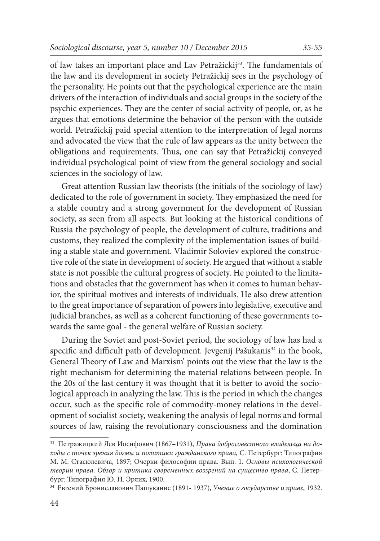of law takes an important place and Lav Petražickij<sup>33</sup>. The fundamentals of the law and its development in society Petražickij sees in the psychology of the personality. He points out that the psychological experience are the main drivers of the interaction of individuals and social groups in the society of the psychic experiences. They are the center of social activity of people, or, as he argues that emotions determine the behavior of the person with the outside world. Petražickij paid special attention to the interpretation of legal norms and advocated the view that the rule of law appears as the unity between the obligations and requirements. Thus, one can say that Petražickij conveyed individual psychological point of view from the general sociology and social sciences in the sociology of law.

Great attention Russian law theorists (the initials of the sociology of law) dedicated to the role of government in society. They emphasized the need for a stable country and a strong government for the development of Russian society, as seen from all aspects. But looking at the historical conditions of Russia the psychology of people, the development of culture, traditions and customs, they realized the complexity of the implementation issues of building a stable state and government. Vladimir Soloviev explored the constructive role of the state in development of society. He argued that without a stable state is not possible the cultural progress of society. He pointed to the limitations and obstacles that the government has when it comes to human behavior, the spiritual motives and interests of individuals. He also drew attention to the great importance of separation of powers into legislative, executive and judicial branches, as well as a coherent functioning of these governments towards the same goal - the general welfare of Russian society.

During the Soviet and post-Soviet period, the sociology of law has had a specific and difficult path of development. Jevgenij Pašukanis<sup>34</sup> in the book, General Theory of Law and Marxism' points out the view that the law is the right mechanism for determining the material relations between people. In the 20s of the last century it was thought that it is better to avoid the sociological approach in analyzing the law. This is the period in which the changes occur, such as the specific role of commodity-money relations in the development of socialist society, weakening the analysis of legal norms and formal sources of law, raising the revolutionary consciousness and the domination

<sup>33</sup> Петражицкий Лев Иосифович (1867–1931), *Права добросовестного владельца на доходы с точек зрения догмы и политики гражданского права*, С. Петербург: Типография М. М. Стасюлевича, 1897; Очерки философии права. Вып. 1. *Основы психологической теории права. Обзор и критика современных воззрений на существо права*, С. Петербург: Типография Ю. Н. Эрлих, 1900.

<sup>34</sup> Евгений Брониславович Пашуканис (1891- 1937), *Учение о государстве и праве*, 1932.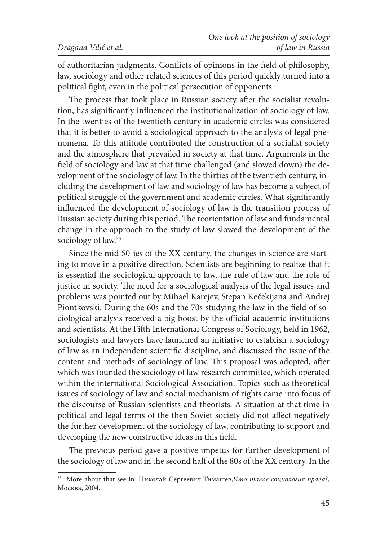of authoritarian judgments. Conflicts of opinions in the field of philosophy, law, sociology and other related sciences of this period quickly turned into a political fight, even in the political persecution of opponents.

The process that took place in Russian society after the socialist revolution, has significantly influenced the institutionalization of sociology of law. In the twenties of the twentieth century in academic circles was considered that it is better to avoid a sociological approach to the analysis of legal phenomena. To this attitude contributed the construction of a socialist society and the atmosphere that prevailed in society at that time. Arguments in the field of sociology and law at that time challenged (and slowed down) the development of the sociology of law. In the thirties of the twentieth century, including the development of law and sociology of law has become a subject of political struggle of the government and academic circles. What significantly influenced the development of sociology of law is the transition process of Russian society during this period. The reorientation of law and fundamental change in the approach to the study of law slowed the development of the sociology of law.<sup>35</sup>

Since the mid 50-ies of the XX century, the changes in science are starting to move in a positive direction. Scientists are beginning to realize that it is essential the sociological approach to law, the rule of law and the role of justice in society. The need for a sociological analysis of the legal issues and problems was pointed out by Mihael Karejev, Stepan Kečekijana and Andrej Piontkovski. During the 60s and the 70s studying the law in the field of sociological analysis received a big boost by the official academic institutions and scientists. At the Fifth International Congress of Sociology, held in 1962, sociologists and lawyers have launched an initiative to establish a sociology of law as an independent scientific discipline, and discussed the issue of the content and methods of sociology of law. This proposal was adopted, after which was founded the sociology of law research committee, which operated within the international Sociological Association. Topics such as theoretical issues of sociology of law and social mechanism of rights came into focus of the discourse of Russian scientists and theorists. A situation at that time in political and legal terms of the then Soviet society did not affect negatively the further development of the sociology of law, contributing to support and developing the new constructive ideas in this field.

The previous period gave a positive impetus for further development of the sociology of law and in the second half of the 80s of the XX century. In the

<sup>35</sup> More about that see in*:* Николай Сергеевич Тимашев,*Что такое социология права*?, Москва, 2004.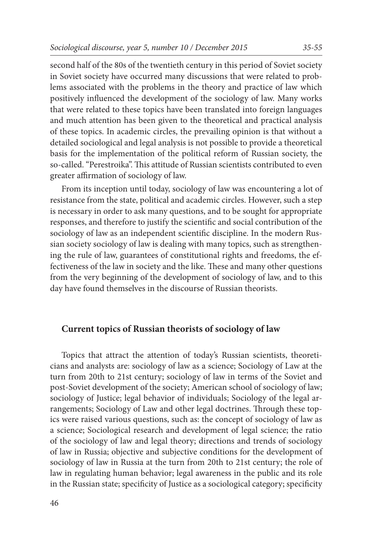second half of the 80s of the twentieth century in this period of Soviet society in Soviet society have occurred many discussions that were related to problems associated with the problems in the theory and practice of law which positively influenced the development of the sociology of law. Many works that were related to these topics have been translated into foreign languages and much attention has been given to the theoretical and practical analysis of these topics. In academic circles, the prevailing opinion is that without a detailed sociological and legal analysis is not possible to provide a theoretical basis for the implementation of the political reform of Russian society, the so-called. "Perestroika". This attitude of Russian scientists contributed to even greater affirmation of sociology of law.

From its inception until today, sociology of law was encountering a lot of resistance from the state, political and academic circles. However, such a step is necessary in order to ask many questions, and to be sought for appropriate responses, and therefore to justify the scientific and social contribution of the sociology of law as an independent scientific discipline. In the modern Russian society sociology of law is dealing with many topics, such as strengthening the rule of law, guarantees of constitutional rights and freedoms, the effectiveness of the law in society and the like. These and many other questions from the very beginning of the development of sociology of law, and to this day have found themselves in the discourse of Russian theorists.

#### **Current topics of Russian theorists of sociology of law**

Topics that attract the attention of today's Russian scientists, theoreticians and analysts are: sociology of law as a science; Sociology of Law at the turn from 20th to 21st century; sociology of law in terms of the Soviet and post-Soviet development of the society; American school of sociology of law; sociology of Justice; legal behavior of individuals; Sociology of the legal arrangements; Sociology of Law and other legal doctrines. Through these topics were raised various questions, such as: the concept of sociology of law as a science; Sociological research and development of legal science; the ratio of the sociology of law and legal theory; directions and trends of sociology of law in Russia; objective and subjective conditions for the development of sociology of law in Russia at the turn from 20th to 21st century; the role of law in regulating human behavior; legal awareness in the public and its role in the Russian state; specificity of Justice as a sociological category; specificity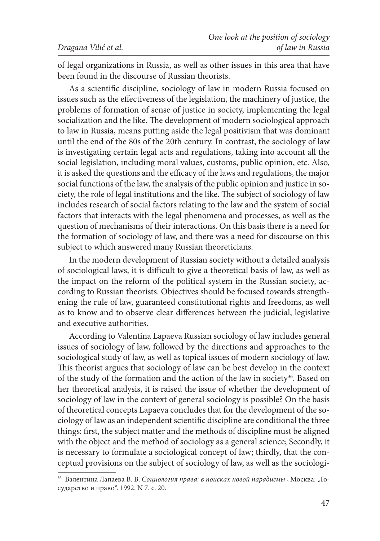of legal organizations in Russia, as well as other issues in this area that have been found in the discourse of Russian theorists.

As a scientific discipline, sociology of law in modern Russia focused on issues such as the effectiveness of the legislation, the machinery of justice, the problems of formation of sense of justice in society, implementing the legal socialization and the like. The development of modern sociological approach to law in Russia, means putting aside the legal positivism that was dominant until the end of the 80s of the 20th century. In contrast, the sociology of law is investigating certain legal acts and regulations, taking into account all the social legislation, including moral values, customs, public opinion, etc. Also, it is asked the questions and the efficacy of the laws and regulations, the major social functions of the law, the analysis of the public opinion and justice in society, the role of legal institutions and the like. The subject of sociology of law includes research of social factors relating to the law and the system of social factors that interacts with the legal phenomena and processes, as well as the question of mechanisms of their interactions. On this basis there is a need for the formation of sociology of law, and there was a need for discourse on this subject to which answered many Russian theoreticians.

In the modern development of Russian society without a detailed analysis of sociological laws, it is difficult to give a theoretical basis of law, as well as the impact on the reform of the political system in the Russian society, according to Russian theorists. Objectives should be focused towards strengthening the rule of law, guaranteed constitutional rights and freedoms, as well as to know and to observe clear differences between the judicial, legislative and executive authorities.

According to Valentina Lapaeva Russian sociology of law includes general issues of sociology of law, followed by the directions and approaches to the sociological study of law, as well as topical issues of modern sociology of law. This theorist argues that sociology of law can be best develop in the context of the study of the formation and the action of the law in society<sup>36</sup>. Based on her theoretical analysis, it is raised the issue of whether the development of sociology of law in the context of general sociology is possible? On the basis of theoretical concepts Lapaeva concludes that for the development of the sociology of law as an independent scientific discipline are conditional the three things: first, the subject matter and the methods of discipline must be aligned with the object and the method of sociology as a general science; Secondly, it is necessary to formulate a sociological concept of law; thirdly, that the conceptual provisions on the subject of sociology of law, as well as the sociologi-

<sup>&</sup>lt;sup>36</sup> Валентина Лапаева В. В. Социология права: в поисках новой парадигмы, Москва: "Государство и право". 1992. N 7. с. 20.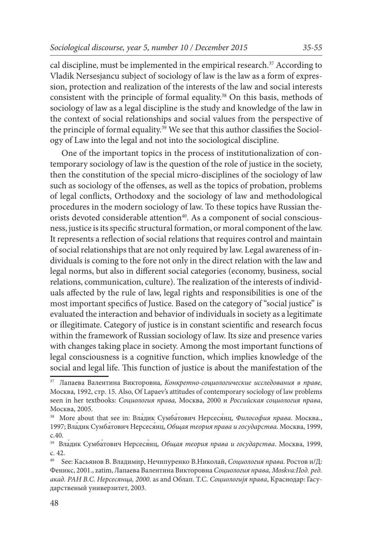cal discipline, must be implemented in the empirical research.<sup>37</sup> According to Vladik Nersesjancu subject of sociology of law is the law as a form of expression, protection and realization of the interests of the law and social interests consistent with the principle of formal equality.38 On this basis, methods of sociology of law as a legal discipline is the study and knowledge of the law in the context of social relationships and social values from the perspective of the principle of formal equality.<sup>39</sup> We see that this author classifies the Sociology of Law into the legal and not into the sociological discipline.

One of the important topics in the process of institutionalization of contemporary sociology of law is the question of the role of justice in the society, then the constitution of the special micro-disciplines of the sociology of law such as sociology of the offenses, as well as the topics of probation, problems of legal conflicts, Orthodoxy and the sociology of law and methodological procedures in the modern sociology of law. To these topics have Russian theorists devoted considerable attention<sup>40</sup>. As a component of social consciousness, justice is its specific structural formation, or moral component of the law. It represents a reflection of social relations that requires control and maintain of social relationships that are not only required by law. Legal awareness of individuals is coming to the fore not only in the direct relation with the law and legal norms, but also in different social categories (economy, business, social relations, communication, culture). The realization of the interests of individuals affected by the rule of law, legal rights and responsibilities is one of the most important specifics of Justice. Based on the category of "social justice" is evaluated the interaction and behavior of individuals in society as a legitimate or illegitimate. Category of justice is in constant scientific and research focus within the framework of Russian sociology of law. Its size and presence varies with changes taking place in society. Among the most important functions of legal consciousness is a cognitive function, which implies knowledge of the social and legal life. This function of justice is about the manifestation of the

<sup>37</sup> Лапаева Валентина Викторовна, *Конкретно-социологические исследования в праве,*  Москва, 1992, стр. 15. Also, Of Lapaev's attitudes of contemporary sociology of law problems seen in her textbooks: *Социология правa,* Москва, 2000 и *Российская социология права*, Москва, 2005.

<sup>&</sup>lt;sup>38</sup> More about that see in: Вла́дик Сумба́тович Нерсеся́нц, Философия права. Москва., 1997; Вла́дик Сумба́тович Нерсеся́нц, *Общая теория права и государства*. Москва, 1999, с.40.

<sup>39</sup> Вла́дик Сумба́тович Нерсеся́нц, *Общая теория права и государства*. Москва, 1999, с. 42.

<sup>40</sup> See: Касьянов В. Владимир, Нечипуренко В.Николай, *Социология права*. Ростов н/Д: Феникс, 2001., zatim, Лапаева Валентина Викторовна *Социология права, Moskva:Под. ред. акад. РАН В.С. Нерсесянца, 2000*. as and Облап. Т.С. *Социологијя права*, Краснодар: Гасударственый универзитет, 2003.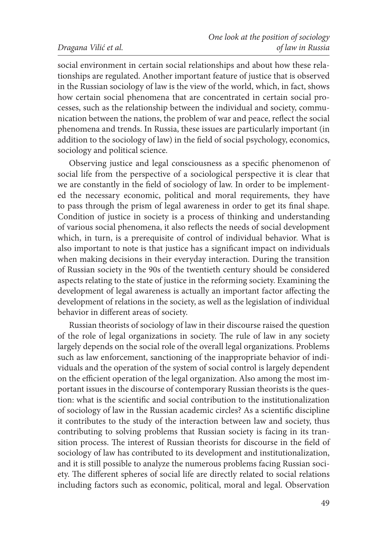social environment in certain social relationships and about how these relationships are regulated. Another important feature of justice that is observed in the Russian sociology of law is the view of the world, which, in fact, shows how certain social phenomena that are concentrated in certain social processes, such as the relationship between the individual and society, communication between the nations, the problem of war and peace, reflect the social phenomena and trends. In Russia, these issues are particularly important (in addition to the sociology of law) in the field of social psychology, economics, sociology and political science.

Observing justice and legal consciousness as a specific phenomenon of social life from the perspective of a sociological perspective it is clear that we are constantly in the field of sociology of law. In order to be implemented the necessary economic, political and moral requirements, they have to pass through the prism of legal awareness in order to get its final shape. Condition of justice in society is a process of thinking and understanding of various social phenomena, it also reflects the needs of social development which, in turn, is a prerequisite of control of individual behavior. What is also important to note is that justice has a significant impact on individuals when making decisions in their everyday interaction. During the transition of Russian society in the 90s of the twentieth century should be considered aspects relating to the state of justice in the reforming society. Examining the development of legal awareness is actually an important factor affecting the development of relations in the society, as well as the legislation of individual behavior in different areas of society.

Russian theorists of sociology of law in their discourse raised the question of the role of legal organizations in society. The rule of law in any society largely depends on the social role of the overall legal organizations. Problems such as law enforcement, sanctioning of the inappropriate behavior of individuals and the operation of the system of social control is largely dependent on the efficient operation of the legal organization. Also among the most important issues in the discourse of contemporary Russian theorists is the question: what is the scientific and social contribution to the institutionalization of sociology of law in the Russian academic circles? As a scientific discipline it contributes to the study of the interaction between law and society, thus contributing to solving problems that Russian society is facing in its transition process. The interest of Russian theorists for discourse in the field of sociology of law has contributed to its development and institutionalization, and it is still possible to analyze the numerous problems facing Russian society. The different spheres of social life are directly related to social relations including factors such as economic, political, moral and legal. Observation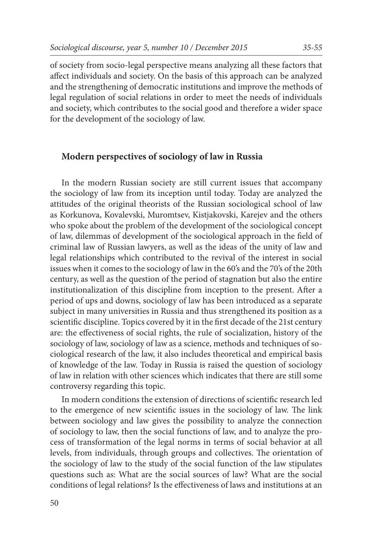of society from socio-legal perspective means analyzing all these factors that affect individuals and society. On the basis of this approach can be analyzed and the strengthening of democratic institutions and improve the methods of legal regulation of social relations in order to meet the needs of individuals and society, which contributes to the social good and therefore a wider space for the development of the sociology of law.

### **Modern perspectives of sociology of law in Russia**

In the modern Russian society are still current issues that accompany the sociology of law from its inception until today. Today are analyzed the attitudes of the original theorists of the Russian sociological school of law as Korkunova, Kovalevski, Muromtsev, Kistjakovski, Karejev and the others who spoke about the problem of the development of the sociological concept of law, dilemmas of development of the sociological approach in the field of criminal law of Russian lawyers, as well as the ideas of the unity of law and legal relationships which contributed to the revival of the interest in social issues when it comes to the sociology of law in the 60's and the 70's of the 20th century, as well as the question of the period of stagnation but also the entire institutionalization of this discipline from inception to the present. After a period of ups and downs, sociology of law has been introduced as a separate subject in many universities in Russia and thus strengthened its position as a scientific discipline. Topics covered by it in the first decade of the 21st century are: the effectiveness of social rights, the rule of socialization, history of the sociology of law, sociology of law as a science, methods and techniques of sociological research of the law, it also includes theoretical and empirical basis of knowledge of the law. Today in Russia is raised the question of sociology of law in relation with other sciences which indicates that there are still some controversy regarding this topic.

In modern conditions the extension of directions of scientific research led to the emergence of new scientific issues in the sociology of law. The link between sociology and law gives the possibility to analyze the connection of sociology to law, then the social functions of law, and to analyze the process of transformation of the legal norms in terms of social behavior at all levels, from individuals, through groups and collectives. The orientation of the sociology of law to the study of the social function of the law stipulates questions such as: What are the social sources of law? What are the social conditions of legal relations? Is the effectiveness of laws and institutions at an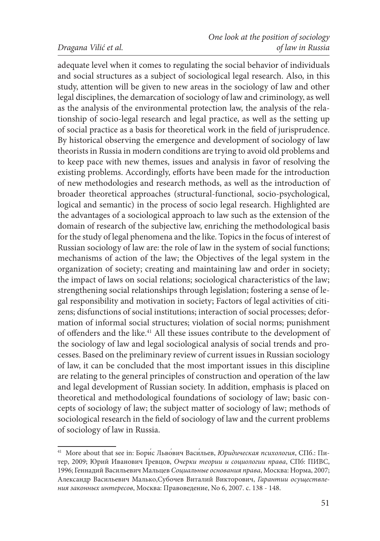#### *Dragana Vilić et al.*

adequate level when it comes to regulating the social behavior of individuals and social structures as a subject of sociological legal research. Also, in this study, attention will be given to new areas in the sociology of law and other legal disciplines, the demarcation of sociology of law and criminology, as well as the analysis of the environmental protection law, the analysis of the relationship of socio-legal research and legal practice, as well as the setting up of social practice as a basis for theoretical work in the field of jurisprudence. By historical observing the emergence and development of sociology of law theorists in Russia in modern conditions are trying to avoid old problems and to keep pace with new themes, issues and analysis in favor of resolving the existing problems. Accordingly, efforts have been made for the introduction of new methodologies and research methods, as well as the introduction of broader theoretical approaches (structural-functional, socio-psychological, logical and semantic) in the process of socio legal research. Highlighted are the advantages of a sociological approach to law such as the extension of the domain of research of the subjective law, enriching the methodological basis for the study of legal phenomena and the like. Topics in the focus of interest of Russian sociology of law are: the role of law in the system of social functions; mechanisms of action of the law; the Objectives of the legal system in the organization of society; creating and maintaining law and order in society; the impact of laws on social relations; sociological characteristics of the law; strengthening social relationships through legislation; fostering a sense of legal responsibility and motivation in society; Factors of legal activities of citizens; disfunctions of social institutions; interaction of social processes; deformation of informal social structures; violation of social norms; punishment of offenders and the like.<sup>41</sup> All these issues contribute to the development of the sociology of law and legal sociological analysis of social trends and processes. Based on the preliminary review of current issues in Russian sociology of law, it can be concluded that the most important issues in this discipline are relating to the general principles of construction and operation of the law and legal development of Russian society. In addition, emphasis is placed on theoretical and methodological foundations of sociology of law; basic concepts of sociology of law; the subject matter of sociology of law; methods of sociological research in the field of sociology of law and the current problems of sociology of law in Russia.

<sup>41</sup> More about that see in: Бори́с Льво́вич Васи́льев, *Юридическая психология*, СПб.: Питер, 2009; Юрий Иванович Гревцов, *Очерки теории и социологии права*, СПб: ПИВС, 1996; Геннадий Васильевич Мальцев *Социальные основания права*, Москва: Норма, 2007; Александр Васильевич Малько,Субочев Виталий Викторович, *Гарантии осуществления законных интересов*, Москва: Правоведение, No 6, 2007. с. 138 - 148.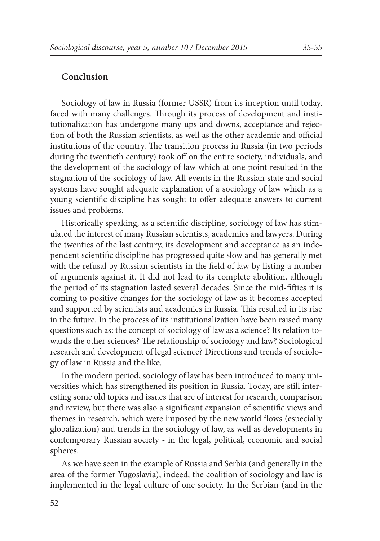#### **Conclusion**

Sociology of law in Russia (former USSR) from its inception until today, faced with many challenges. Through its process of development and institutionalization has undergone many ups and downs, acceptance and rejection of both the Russian scientists, as well as the other academic and official institutions of the country. The transition process in Russia (in two periods during the twentieth century) took off on the entire society, individuals, and the development of the sociology of law which at one point resulted in the stagnation of the sociology of law. All events in the Russian state and social systems have sought adequate explanation of a sociology of law which as a young scientific discipline has sought to offer adequate answers to current issues and problems.

Historically speaking, as a scientific discipline, sociology of law has stimulated the interest of many Russian scientists, academics and lawyers. During the twenties of the last century, its development and acceptance as an independent scientific discipline has progressed quite slow and has generally met with the refusal by Russian scientists in the field of law by listing a number of arguments against it. It did not lead to its complete abolition, although the period of its stagnation lasted several decades. Since the mid-fifties it is coming to positive changes for the sociology of law as it becomes accepted and supported by scientists and academics in Russia. This resulted in its rise in the future. In the process of its institutionalization have been raised many questions such as: the concept of sociology of law as a science? Its relation towards the other sciences? The relationship of sociology and law? Sociological research and development of legal science? Directions and trends of sociology of law in Russia and the like.

In the modern period, sociology of law has been introduced to many universities which has strengthened its position in Russia. Today, are still interesting some old topics and issues that are of interest for research, comparison and review, but there was also a significant expansion of scientific views and themes in research, which were imposed by the new world flows (especially globalization) and trends in the sociology of law, as well as developments in contemporary Russian society - in the legal, political, economic and social spheres.

As we have seen in the example of Russia and Serbia (and generally in the area of the former Yugoslavia), indeed, the coalition of sociology and law is implemented in the legal culture of one society. In the Serbian (and in the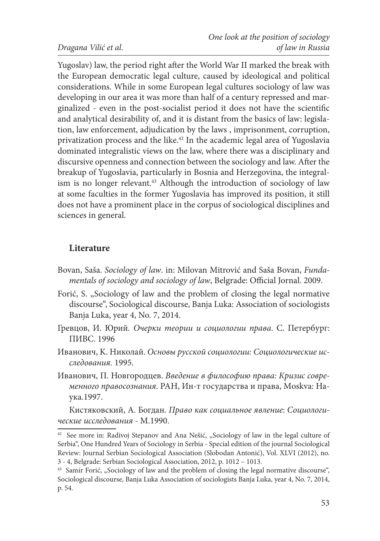Yugoslav) law, the period right after the World War II marked the break with the European democratic legal culture, caused by ideological and political considerations. While in some European legal cultures sociology of law was developing in our area it was more than half of a century repressed and marginalized - even in the post-socialist period it does not have the scientific and analytical desirability of, and it is distant from the basics of law: legislation, law enforcement, adjudication by the laws , imprisonment, corruption, privatization process and the like.42 In the academic legal area of Yugoslavia dominated integralistic views on the law, where there was a disciplinary and discursive openness and connection between the sociology and law. After the breakup of Yugoslavia, particularly in Bosnia and Herzegovina, the integralism is no longer relevant.<sup>43</sup> Although the introduction of sociology of law at some faculties in the former Yugoslavia has improved its position, it still does not have a prominent place in the corpus of sociological disciplines and sciences in general.

# **Literature**

- Bovan, Saša. *Sociology of law*. in: Milovan Mitrović and Saša Bovan, *Fundamentals of sociology and sociology of law*, Belgrade: Official Jornal. 2009.
- Forić, S. "Sociology of law and the problem of closing the legal normative discourse", Sociological discourse, Banja Luka: Association of sociologists Banja Luka, year 4, No. 7, 2014.
- Гревцов, И. Юрий*. Очерки теории и социологии права*. С. Петербург: ПИВС. 1996
- Иванович, K. Николай. *Основы русской социологии: Социологические исследования.* 1995.
- Иванович, П. Новгородцев. *Введение в философию права: Кризис современного правосознания*. РАН, Ин-т государства и права, Мoskva: Наука.1997.

Кистяковский, A. Богдан. *Право как социальное явление*: *Социологические исследования* - М.1990.

<sup>&</sup>lt;sup>42</sup> See more in: Radivoj Stepanov and Ana Nešić, "Sociology of law in the legal culture of Serbia", One Hundred Years of Sociology in Serbia - Special edition of the journal Sociological Review: Journal Serbian Sociological Association (Slobodan Antonić), Vol. XLVI (2012), no. 3 - 4, Belgrade: Serbian Sociological Association, 2012, p. 1012 – 1013.

<sup>&</sup>lt;sup>43</sup> Samir Forić, "Sociology of law and the problem of closing the legal normative discourse", Sociological discourse, Banja Luka Association of sociologists Banja Luka, year 4, No. 7, 2014, p. 54.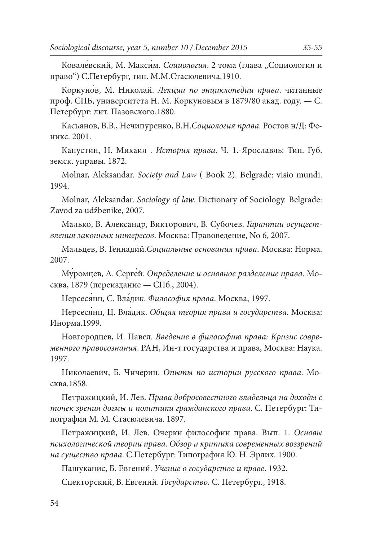Ковале́вский, М. Макси́м. *Социология*. 2 тома (глава "Социология и право") С.Петербург, тип. М.М.Стасюлевича.1910.

Коркуно́в, M. Николай. *Лекции по энциклопедии права*. читанные проф. СПБ, университета Н. М. Коркуновым в 1879/80 акад. году. — С. Петербург: лит. Пазовского.1880.

Касьянов, В.В., Нечипуренко, В.Н.*Социология права*. Ростов н/Д: Феникс. 2001.

Капустин, H. Михаил . *История права*. Ч. 1.-Ярославль: Тип. Губ. земск. управы. 1872.

Molnar, Aleksandar. *Society and Law* ( Book 2). Belgrade: visio mundi. 1994.

Molnar, Aleksandar. *Sociology of law.* Dictionary of Sociology. Belgrade: Zavod za udžbenike, 2007.

Малько, В. Александр, Викторович, В. Субочев. *Гарантии осуществления законных интересов*. Москва: Правоведение, No 6, 2007.

Мальцев, В. Геннадий*.Социальные основания права*. Москва: Норма. 2007.

Му́ромцев, A. Серге́й. *Определение и основное разделение права*. Москва, 1879 (переиздание — СПб., 2004).

Нерсеся́нц, C. Вла́дик. *Философия права*. Москва, 1997.

Нерсеся́нц, Ц. Вла́дик. *Общая теория права и государства*. Москва: Инорма.1999.

Новгородцев, И. Павел. *Введение в философию права: Кризис современного правосознания*. РАН, Ин-т государства и права, Москва: Наука. 1997.

Николаевич, Б. Чичерин. *Опыты по истории русского права*. Москва.1858.

Петражицкий, И. Лев. *Права добросовестного владельца на доходы с точек зрения догмы и политики гражданского права*. С. Петербург: Типография М. М. Стасюлевича. 1897.

Петражицкий, И. Лев. Очерки философии права. Вып. 1. *Основы психологической теории права. Обзор и критика современных воззрений на существо права*. С.Петербург: Типография Ю. Н. Эрлих. 1900.

Пашуканис, Б. Евгений. *Учение о государстве и праве*. 1932.

Спекторский, B. Евгений. *Государство*. С. Петербург., 1918.